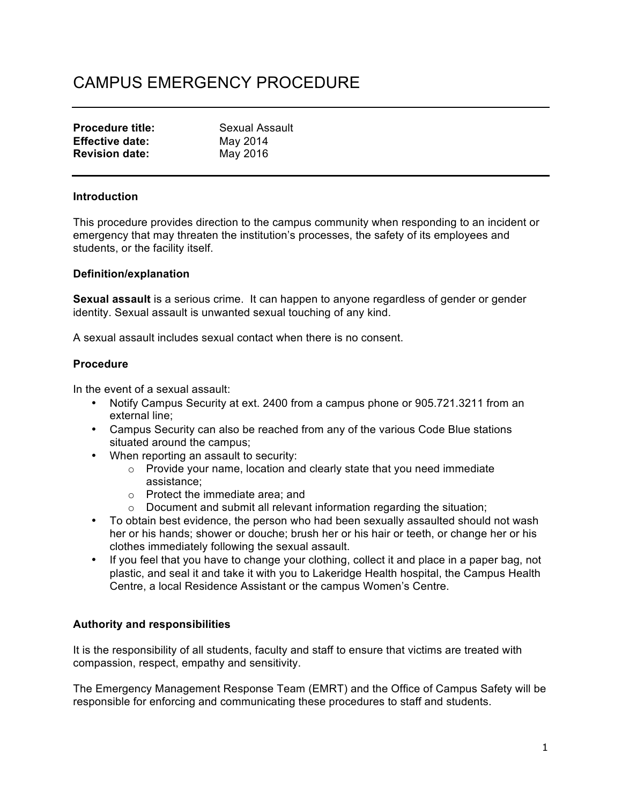# CAMPUS EMERGENCY PROCEDURE

| <b>Procedure title:</b> | <b>Sexual Assault</b> |
|-------------------------|-----------------------|
| <b>Effective date:</b>  | May 2014              |
| <b>Revision date:</b>   | May 2016              |

#### **Introduction**

This procedure provides direction to the campus community when responding to an incident or emergency that may threaten the institution's processes, the safety of its employees and students, or the facility itself.

#### **Definition/explanation**

**Sexual assault** is a serious crime. It can happen to anyone regardless of gender or gender identity. Sexual assault is unwanted sexual touching of any kind.

A sexual assault includes sexual contact when there is no consent.

### **Procedure**

In the event of a sexual assault:

- Notify Campus Security at ext. 2400 from a campus phone or 905.721.3211 from an external line;
- Campus Security can also be reached from any of the various Code Blue stations situated around the campus;
- When reporting an assault to security:
	- o Provide your name, location and clearly state that you need immediate assistance;
	- o Protect the immediate area; and
	- $\circ$  Document and submit all relevant information regarding the situation;
- To obtain best evidence, the person who had been sexually assaulted should not wash her or his hands; shower or douche; brush her or his hair or teeth, or change her or his clothes immediately following the sexual assault.
- If you feel that you have to change your clothing, collect it and place in a paper bag, not plastic, and seal it and take it with you to Lakeridge Health hospital, the Campus Health Centre, a local Residence Assistant or the campus Women's Centre.

# **Authority and responsibilities**

It is the responsibility of all students, faculty and staff to ensure that victims are treated with compassion, respect, empathy and sensitivity.

The Emergency Management Response Team (EMRT) and the Office of Campus Safety will be responsible for enforcing and communicating these procedures to staff and students.